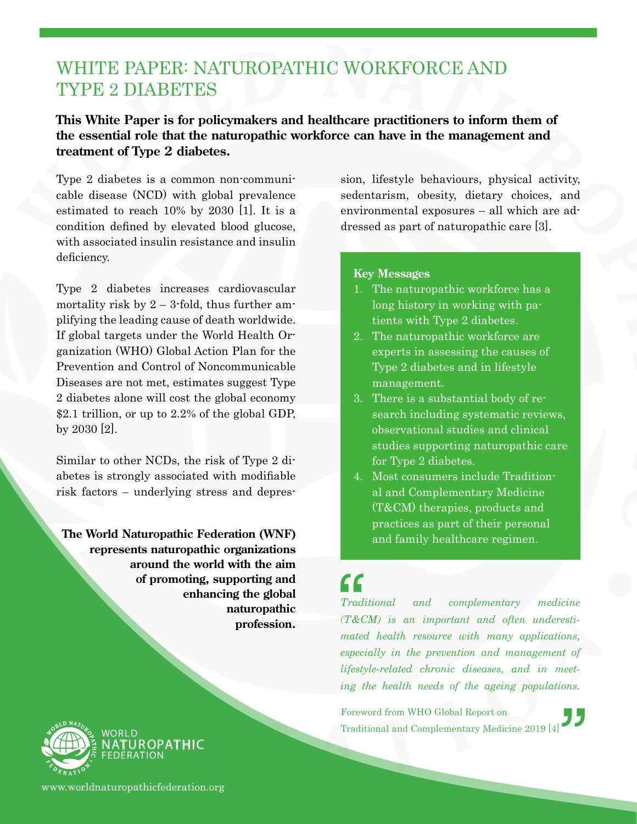### WHITE PAPER: NATUROPATHIC WORKFORCE AND TYPE 2 DIABETES

#### **This White Paper is for policymakers and healthcare practitioners to inform them of the essential role that the naturopathic workforce can have in the management and treatment of Type 2 diabetes.**

Type 2 diabetes is a common non-communicable disease (NCD) with global prevalence estimated to reach 10% by 2030 [1]. It is a condition defined by elevated blood glucose, with associated insulin resistance and insulin deficiency.

Type 2 diabetes increases cardiovascular mortality risk by  $2 - 3$ -fold, thus further amplifying the leading cause of death worldwide. If global targets under the World Health Organization (WHO) Global Action Plan for the Prevention and Control of Noncommunicable Diseases are not met, estimates suggest Type 2 diabetes alone will cost the global economy \$2.1 trillion, or up to 2.2% of the global GDP, by 2030 [2].

Similar to other NCDs, the risk of Type 2 diabetes is strongly associated with modifiable risk factors – underlying stress and depres-

**The World Naturopathic Federation (WNF) represents naturopathic organizations around the world with the aim of promoting, supporting and enhancing the global naturopathic profession.** sion, lifestyle behaviours, physical activity, sedentarism, obesity, dietary choices, and environmental exposures – all which are addressed as part of naturopathic care [3].

#### **Key Messages**

- 1. The naturopathic workforce has a long history in working with patients with Type 2 diabetes.
- 2. The naturopathic workforce are experts in assessing the causes of Type 2 diabetes and in lifestyle management.
- 3. There is a substantial body of research including systematic reviews, observational studies and clinical studies supporting naturopathic care for Type 2 diabetes.
- 4. Most consumers include Traditional and Complementary Medicine (T&CM) therapies, products and practices as part of their personal and family healthcare regimen.

# $\bigcap_{\substack{\text{Traditional}}}$

*lifestyle-related chronic diseases, and in meet-*<br> *ing the health needs of the ageing populations.*<br>
Foreword from WHO Global Report on *Traditional complementary medicine (T&CM) is an important and often underestimated health resource with many applications, especially in the prevention and management of ing the health needs of the ageing populations.*

Foreword from WHO Global Report on Traditional and Complementary Medicine 2019 [4]



www.worldnaturopathicfederation.org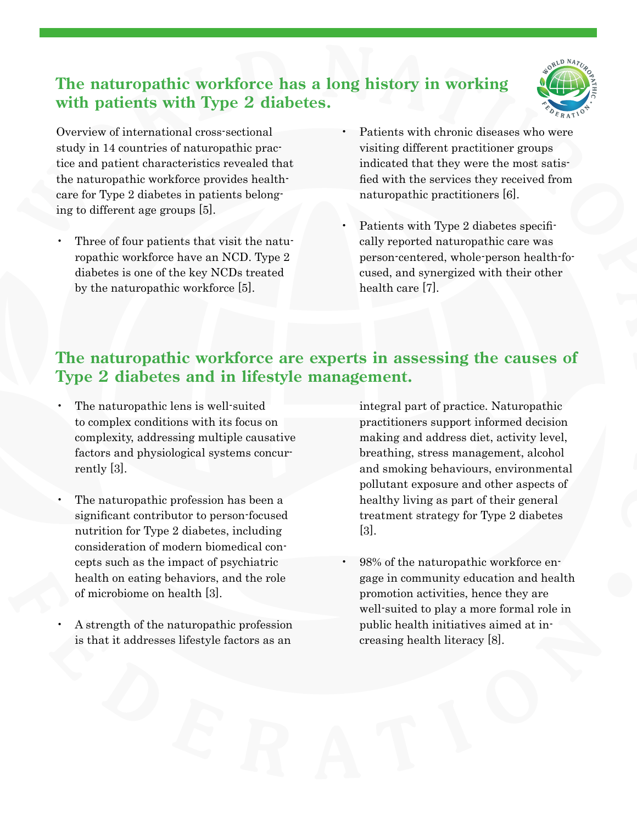### **The naturopathic workforce has a long history in working with patients with Type 2 diabetes.**



Overview of international cross-sectional study in 14 countries of naturopathic practice and patient characteristics revealed that the naturopathic workforce provides healthcare for Type 2 diabetes in patients belonging to different age groups [5].

- Three of four patients that visit the naturopathic workforce have an NCD. Type 2 diabetes is one of the key NCDs treated by the naturopathic workforce [5].
- Patients with chronic diseases who were visiting different practitioner groups indicated that they were the most satisfied with the services they received from naturopathic practitioners [6].
- Patients with Type 2 diabetes specifically reported naturopathic care was person-centered, whole-person health-focused, and synergized with their other health care [7].

#### **The naturopathic workforce are experts in assessing the causes of Type 2 diabetes and in lifestyle management.**

- The naturopathic lens is well-suited to complex conditions with its focus on complexity, addressing multiple causative factors and physiological systems concurrently [3].
- The naturopathic profession has been a significant contributor to person-focused nutrition for Type 2 diabetes, including consideration of modern biomedical concepts such as the impact of psychiatric health on eating behaviors, and the role of microbiome on health [3].
- A strength of the naturopathic profession is that it addresses lifestyle factors as an

integral part of practice. Naturopathic practitioners support informed decision making and address diet, activity level, breathing, stress management, alcohol and smoking behaviours, environmental pollutant exposure and other aspects of healthy living as part of their general treatment strategy for Type 2 diabetes [3].

• 98% of the naturopathic workforce engage in community education and health promotion activities, hence they are well-suited to play a more formal role in public health initiatives aimed at increasing health literacy [8].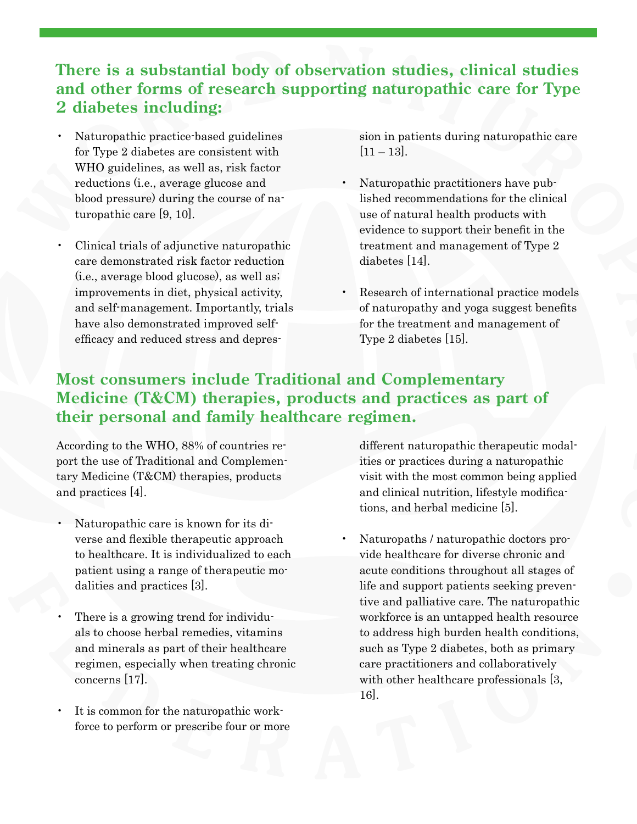#### **There is a substantial body of observation studies, clinical studies and other forms of research supporting naturopathic care for Type 2 diabetes including:**

- Naturopathic practice-based guidelines for Type 2 diabetes are consistent with WHO guidelines, as well as, risk factor reductions (i.e., average glucose and blood pressure) during the course of naturopathic care [9, 10].
- Clinical trials of adjunctive naturopathic care demonstrated risk factor reduction (i.e., average blood glucose), as well as; improvements in diet, physical activity, and self-management. Importantly, trials have also demonstrated improved selfefficacy and reduced stress and depres-

sion in patients during naturopathic care  $|11 - 13|$ .

- Naturopathic practitioners have published recommendations for the clinical use of natural health products with evidence to support their benefit in the treatment and management of Type 2 diabetes [14].
- Research of international practice models of naturopathy and yoga suggest benefits for the treatment and management of Type 2 diabetes [15].

#### **Most consumers include Traditional and Complementary Medicine (T&CM) therapies, products and practices as part of their personal and family healthcare regimen.**

According to the WHO, 88% of countries report the use of Traditional and Complementary Medicine (T&CM) therapies, products and practices [4].

- Naturopathic care is known for its diverse and flexible therapeutic approach to healthcare. It is individualized to each patient using a range of therapeutic modalities and practices [3].
- There is a growing trend for individuals to choose herbal remedies, vitamins and minerals as part of their healthcare regimen, especially when treating chronic concerns [17].
- It is common for the naturopathic workforce to perform or prescribe four or more

different naturopathic therapeutic modalities or practices during a naturopathic visit with the most common being applied and clinical nutrition, lifestyle modifications, and herbal medicine [5].

• Naturopaths / naturopathic doctors provide healthcare for diverse chronic and acute conditions throughout all stages of life and support patients seeking preventive and palliative care. The naturopathic workforce is an untapped health resource to address high burden health conditions, such as Type 2 diabetes, both as primary care practitioners and collaboratively with other healthcare professionals [3, 16].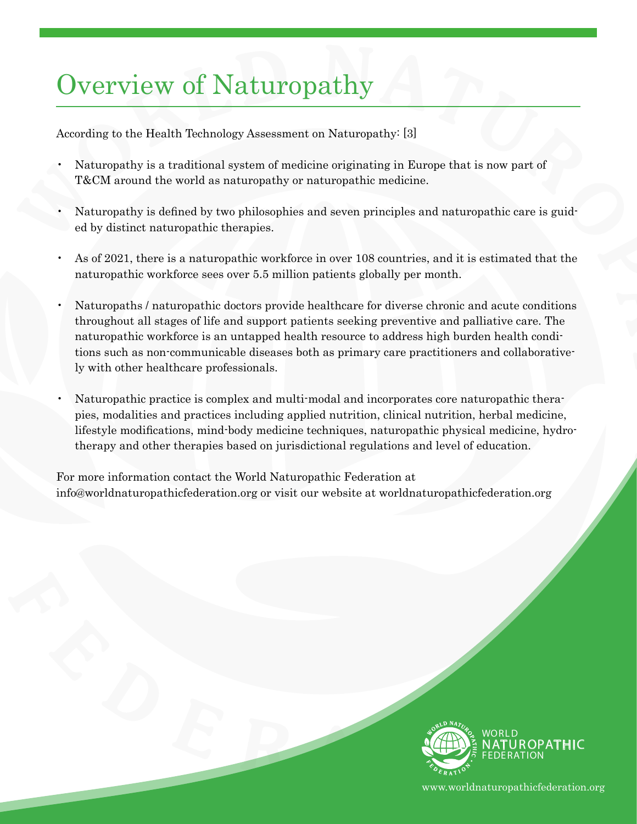## Overview of Naturopathy

According to the Health Technology Assessment on Naturopathy: [3]

- Naturopathy is a traditional system of medicine originating in Europe that is now part of T&CM around the world as naturopathy or naturopathic medicine.
- Naturopathy is defined by two philosophies and seven principles and naturopathic care is guided by distinct naturopathic therapies.
- As of 2021, there is a naturopathic workforce in over 108 countries, and it is estimated that the naturopathic workforce sees over 5.5 million patients globally per month.
- Naturopaths / naturopathic doctors provide healthcare for diverse chronic and acute conditions throughout all stages of life and support patients seeking preventive and palliative care. The naturopathic workforce is an untapped health resource to address high burden health conditions such as non-communicable diseases both as primary care practitioners and collaboratively with other healthcare professionals.
- Naturopathic practice is complex and multi-modal and incorporates core naturopathic therapies, modalities and practices including applied nutrition, clinical nutrition, herbal medicine, lifestyle modifications, mind-body medicine techniques, naturopathic physical medicine, hydrotherapy and other therapies based on jurisdictional regulations and level of education.

For more information contact the World Naturopathic Federation at info@worldnaturopathicfederation.org or visit our website at worldnaturopathicfederation.org



www.worldnaturopathicfederation.org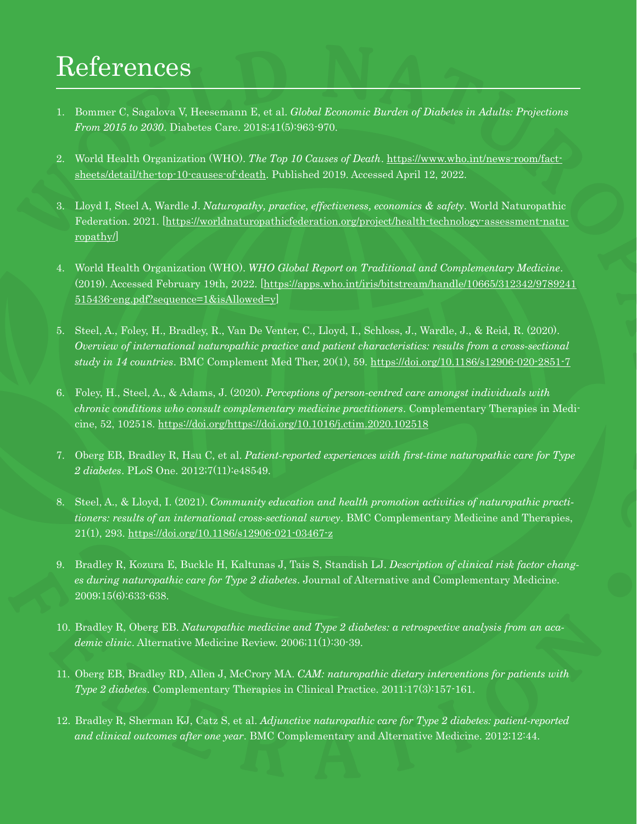## References

- 1. Bommer C, Sagalova V, Heesemann E, et al. *Global Economic Burden of Diabetes in Adults: Projections From 2015 to 2030*. Diabetes Care. 2018;41(5):963-970.
- 2. World Health Organization (WHO). *The Top 10 Causes of Death*. [https://www.who.int/news-room/fact](https://www.who.int/news-room/fact-sheets/detail/the-top-10-causes-of-death)[sheets/detail/the-top-10-causes-of-death.](https://www.who.int/news-room/fact-sheets/detail/the-top-10-causes-of-death) Published 2019. Accessed April 12, 2022.
- 3. Lloyd I, Steel A, Wardle J. *Naturopathy, practice, effectiveness, economics & safety*. World Naturopathic Federation. 2021. [\[https://worldnaturopathicfederation.org/project/health-technology-assessment-natu](https://worldnaturopathicfederation.org/project/health-technology-assessment-naturopathy/)[ropathy/\]](https://worldnaturopathicfederation.org/project/health-technology-assessment-naturopathy/)
- 4. World Health Organization (WHO). *WHO Global Report on Traditional and Complementary Medicine*. (2019). Accessed February 19th, 2022. [[https://apps.who.int/iris/bitstream/handle/10665/312342/9789241](https://apps.who.int/iris/bitstream/handle/10665/312342/9789241515436-eng.pdf?sequence=1&isAllowed=y) [515436-eng.pdf?sequence=1&isAllowed=y](https://apps.who.int/iris/bitstream/handle/10665/312342/9789241515436-eng.pdf?sequence=1&isAllowed=y)]
- 5. Steel, A., Foley, H., Bradley, R., Van De Venter, C., Lloyd, I., Schloss, J., Wardle, J., & Reid, R. (2020). *Overview of international naturopathic practice and patient characteristics: results from a cross-sectional study in 14 countries*. BMC Complement Med Ther, 20(1), 59.<https://doi.org/10.1186/s12906-020-2851-7>
- 6. Foley, H., Steel, A., & Adams, J. (2020). *Perceptions of person-centred care amongst individuals with chronic conditions who consult complementary medicine practitioners*. Complementary Therapies in Medicine, 52, 102518. <https://doi.org/https://doi.org/10.1016/j.ctim.2020.102518>
- 7. Oberg EB, Bradley R, Hsu C, et al. *Patient-reported experiences with first-time naturopathic care for Type 2 diabetes*. PLoS One. 2012;7(11):e48549.
- 8. Steel, A., & Lloyd, I. (2021). *Community education and health promotion activities of naturopathic practitioners: results of an international cross-sectional survey*. BMC Complementary Medicine and Therapies, 21(1), 293.<https://doi.org/10.1186/s12906-021-03467-z>
- 9. Bradley R, Kozura E, Buckle H, Kaltunas J, Tais S, Standish LJ. *Description of clinical risk factor changes during naturopathic care for Type 2 diabetes*. Journal of Alternative and Complementary Medicine. 2009;15(6):633-638.
- 10. Bradley R, Oberg EB. *Naturopathic medicine and Type 2 diabetes: a retrospective analysis from an academic clinic*. Alternative Medicine Review. 2006;11(1):30-39.
- 11. Oberg EB, Bradley RD, Allen J, McCrory MA. *CAM: naturopathic dietary interventions for patients with Type 2 diabetes*. Complementary Therapies in Clinical Practice. 2011;17(3):157-161.
- 12. Bradley R, Sherman KJ, Catz S, et al. *Adjunctive naturopathic care for Type 2 diabetes: patient-reported and clinical outcomes after one year*. BMC Complementary and Alternative Medicine. 2012;12:44.